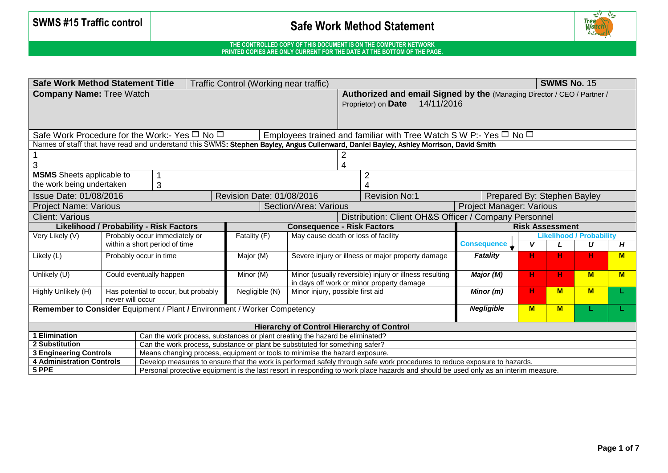

| <b>Safe Work Method Statement Title</b><br>Traffic Control (Working near traffic)                                                            |                                                                                                                |                               |                                                                                                                          |                                                                             |                                     |                                                                                                                                       |                                 | <b>SWMS No. 15</b>          |          |                                 |     |
|----------------------------------------------------------------------------------------------------------------------------------------------|----------------------------------------------------------------------------------------------------------------|-------------------------------|--------------------------------------------------------------------------------------------------------------------------|-----------------------------------------------------------------------------|-------------------------------------|---------------------------------------------------------------------------------------------------------------------------------------|---------------------------------|-----------------------------|----------|---------------------------------|-----|
| <b>Company Name: Tree Watch</b>                                                                                                              |                                                                                                                |                               |                                                                                                                          |                                                                             |                                     | Authorized and email Signed by the (Managing Director / CEO / Partner /<br>14/11/2016<br>Proprietor) on Date                          |                                 |                             |          |                                 |     |
| Safe Work Procedure for the Work:- Yes $\Box$ No $\Box$<br>Employees trained and familiar with Tree Watch S W P:- Yes $\Box$ No $\Box$       |                                                                                                                |                               |                                                                                                                          |                                                                             |                                     |                                                                                                                                       |                                 |                             |          |                                 |     |
|                                                                                                                                              |                                                                                                                |                               |                                                                                                                          |                                                                             |                                     | Names of staff that have read and understand this SWMS: Stephen Bayley, Angus Cullenward, Daniel Bayley, Ashley Morrison, David Smith |                                 |                             |          |                                 |     |
|                                                                                                                                              |                                                                                                                |                               |                                                                                                                          |                                                                             | 4                                   | $\overline{2}$                                                                                                                        |                                 |                             |          |                                 |     |
| <b>MSMS</b> Sheets applicable to                                                                                                             |                                                                                                                |                               |                                                                                                                          |                                                                             |                                     | $\overline{2}$                                                                                                                        |                                 |                             |          |                                 |     |
| the work being undertaken                                                                                                                    |                                                                                                                | 3                             |                                                                                                                          |                                                                             |                                     | Δ                                                                                                                                     |                                 |                             |          |                                 |     |
| <b>Issue Date: 01/08/2016</b>                                                                                                                |                                                                                                                |                               |                                                                                                                          | Revision Date: 01/08/2016                                                   |                                     | <b>Revision No:1</b>                                                                                                                  |                                 | Prepared By: Stephen Bayley |          |                                 |     |
| <b>Project Name: Various</b>                                                                                                                 |                                                                                                                |                               |                                                                                                                          |                                                                             | Section/Area: Various               |                                                                                                                                       | <b>Project Manager: Various</b> |                             |          |                                 |     |
| Distribution: Client OH&S Officer / Company Personnel<br><b>Client: Various</b>                                                              |                                                                                                                |                               |                                                                                                                          |                                                                             |                                     |                                                                                                                                       |                                 |                             |          |                                 |     |
| <b>Likelihood / Probability - Risk Factors</b><br><b>Consequence - Risk Factors</b>                                                          |                                                                                                                |                               |                                                                                                                          |                                                                             | <b>Risk Assessment</b>              |                                                                                                                                       |                                 |                             |          |                                 |     |
| Very Likely (V)                                                                                                                              |                                                                                                                | Probably occur immediately or |                                                                                                                          | Fatality (F)                                                                | May cause death or loss of facility |                                                                                                                                       |                                 |                             |          | <b>Likelihood / Probability</b> |     |
|                                                                                                                                              |                                                                                                                | within a short period of time |                                                                                                                          |                                                                             |                                     | Consequence L                                                                                                                         | V                               |                             | U        | Н                               |     |
| Likely (L)                                                                                                                                   |                                                                                                                | Probably occur in time        |                                                                                                                          | Major (M)                                                                   |                                     | Severe injury or illness or major property damage                                                                                     | <b>Fatality</b>                 | н                           | н        | н                               | $M$ |
| Unlikely (U)                                                                                                                                 |                                                                                                                | Could eventually happen       |                                                                                                                          | Minor (M)                                                                   |                                     | Minor (usually reversible) injury or illness resulting<br>in days off work or minor property damage                                   | Major (M)                       | н                           | н        | M                               | M   |
| Highly Unlikely (H)                                                                                                                          | Has potential to occur, but probably<br>Negligible (N)<br>Minor injury, possible first aid<br>never will occur |                               |                                                                                                                          |                                                                             |                                     | Minor (m)                                                                                                                             | H                               | M                           | <b>M</b> |                                 |     |
| Remember to Consider Equipment / Plant / Environment / Worker Competency                                                                     |                                                                                                                |                               |                                                                                                                          |                                                                             |                                     | <b>Negligible</b>                                                                                                                     | M                               | M                           |          |                                 |     |
| <b>Hierarchy of Control Hierarchy of Control</b>                                                                                             |                                                                                                                |                               |                                                                                                                          |                                                                             |                                     |                                                                                                                                       |                                 |                             |          |                                 |     |
| 1 Elimination<br>Can the work process, substances or plant creating the hazard be eliminated?                                                |                                                                                                                |                               |                                                                                                                          |                                                                             |                                     |                                                                                                                                       |                                 |                             |          |                                 |     |
| Can the work process, substance or plant be substituted for something safer?<br>2 Substitution                                               |                                                                                                                |                               |                                                                                                                          |                                                                             |                                     |                                                                                                                                       |                                 |                             |          |                                 |     |
| <b>3 Engineering Controls</b>                                                                                                                |                                                                                                                |                               |                                                                                                                          | Means changing process, equipment or tools to minimise the hazard exposure. |                                     |                                                                                                                                       |                                 |                             |          |                                 |     |
| <b>4 Administration Controls</b>                                                                                                             |                                                                                                                |                               | Develop measures to ensure that the work is performed safely through safe work procedures to reduce exposure to hazards. |                                                                             |                                     |                                                                                                                                       |                                 |                             |          |                                 |     |
| 5 PPE<br>Personal protective equipment is the last resort in responding to work place hazards and should be used only as an interim measure. |                                                                                                                |                               |                                                                                                                          |                                                                             |                                     |                                                                                                                                       |                                 |                             |          |                                 |     |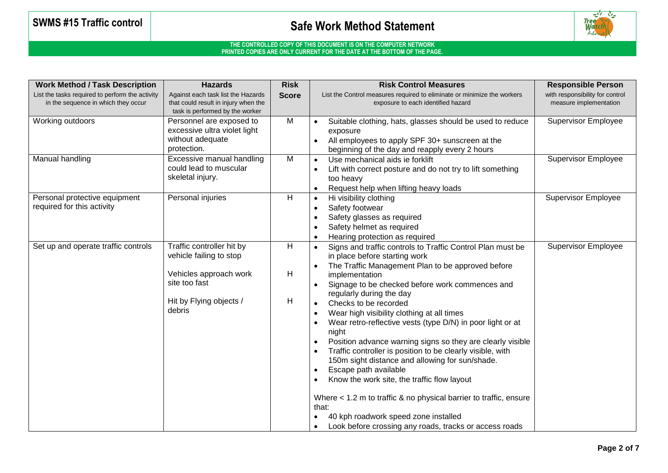

| <b>Work Method / Task Description</b>                                                  | <b>Hazards</b>                                                                                                | <b>Risk</b>  | <b>Risk Control Measures</b>                                                                                                                                                                                                                                                                                                                                                                                                                                                                                                                                                                                                                       | <b>Responsible Person</b>                                 |
|----------------------------------------------------------------------------------------|---------------------------------------------------------------------------------------------------------------|--------------|----------------------------------------------------------------------------------------------------------------------------------------------------------------------------------------------------------------------------------------------------------------------------------------------------------------------------------------------------------------------------------------------------------------------------------------------------------------------------------------------------------------------------------------------------------------------------------------------------------------------------------------------------|-----------------------------------------------------------|
| List the tasks required to perform the activity<br>in the sequence in which they occur | Against each task list the Hazards<br>that could result in injury when the<br>task is performed by the worker | <b>Score</b> | List the Control measures required to eliminate or minimize the workers<br>exposure to each identified hazard                                                                                                                                                                                                                                                                                                                                                                                                                                                                                                                                      | with responsibility for control<br>measure implementation |
| Working outdoors                                                                       | Personnel are exposed to<br>excessive ultra violet light<br>without adequate<br>protection.                   | M            | Suitable clothing, hats, glasses should be used to reduce<br>exposure<br>All employees to apply SPF 30+ sunscreen at the<br>beginning of the day and reapply every 2 hours                                                                                                                                                                                                                                                                                                                                                                                                                                                                         | <b>Supervisor Employee</b>                                |
| Manual handling                                                                        | Excessive manual handling<br>could lead to muscular<br>skeletal injury.                                       | M            | Use mechanical aids ie forklift<br>Lift with correct posture and do not try to lift something<br>too heavy<br>Request help when lifting heavy loads<br>$\bullet$                                                                                                                                                                                                                                                                                                                                                                                                                                                                                   | <b>Supervisor Employee</b>                                |
| Personal protective equipment<br>required for this activity                            | Personal injuries                                                                                             | н            | Hi visibility clothing<br>$\bullet$<br>Safety footwear<br>$\bullet$<br>Safety glasses as required<br>$\bullet$<br>Safety helmet as required<br>$\bullet$<br>Hearing protection as required<br>$\bullet$                                                                                                                                                                                                                                                                                                                                                                                                                                            | <b>Supervisor Employee</b>                                |
| Set up and operate traffic controls                                                    | Traffic controller hit by<br>vehicle failing to stop<br>Vehicles approach work                                | H<br>н       | Signs and traffic controls to Traffic Control Plan must be<br>in place before starting work<br>The Traffic Management Plan to be approved before<br>implementation                                                                                                                                                                                                                                                                                                                                                                                                                                                                                 | <b>Supervisor Employee</b>                                |
|                                                                                        | site too fast                                                                                                 |              | Signage to be checked before work commences and<br>regularly during the day                                                                                                                                                                                                                                                                                                                                                                                                                                                                                                                                                                        |                                                           |
|                                                                                        | Hit by Flying objects /<br>debris                                                                             | Н            | Checks to be recorded<br>$\bullet$<br>Wear high visibility clothing at all times<br>$\bullet$<br>Wear retro-reflective vests (type D/N) in poor light or at<br>night<br>Position advance warning signs so they are clearly visible<br>$\bullet$<br>Traffic controller is position to be clearly visible, with<br>150m sight distance and allowing for sun/shade.<br>Escape path available<br>$\bullet$<br>Know the work site, the traffic flow layout<br>Where < 1.2 m to traffic & no physical barrier to traffic, ensure<br>that:<br>40 kph roadwork speed zone installed<br>Look before crossing any roads, tracks or access roads<br>$\bullet$ |                                                           |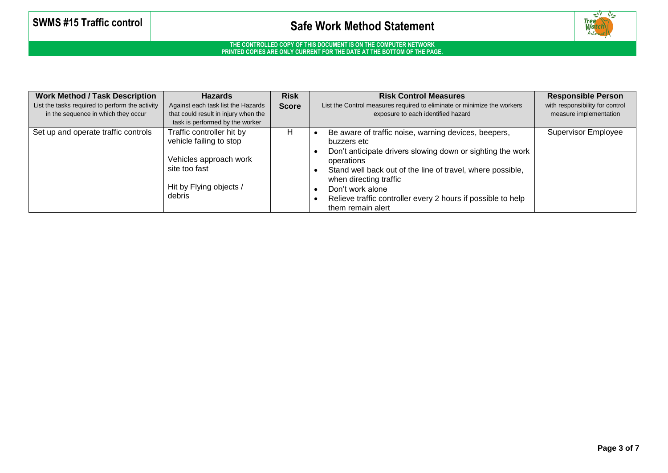

| <b>Work Method / Task Description</b><br>List the tasks required to perform the activity<br>in the sequence in which they occur | <b>Hazards</b><br>Against each task list the Hazards<br>that could result in injury when the<br>task is performed by the worker      | <b>Risk</b><br><b>Score</b> | <b>Risk Control Measures</b><br>List the Control measures required to eliminate or minimize the workers<br>exposure to each identified hazard                                                                                                                                                                                                    | <b>Responsible Person</b><br>with responsibility for control<br>measure implementation |
|---------------------------------------------------------------------------------------------------------------------------------|--------------------------------------------------------------------------------------------------------------------------------------|-----------------------------|--------------------------------------------------------------------------------------------------------------------------------------------------------------------------------------------------------------------------------------------------------------------------------------------------------------------------------------------------|----------------------------------------------------------------------------------------|
| Set up and operate traffic controls                                                                                             | Traffic controller hit by<br>vehicle failing to stop<br>Vehicles approach work<br>site too fast<br>Hit by Flying objects /<br>debris | н                           | Be aware of traffic noise, warning devices, beepers,<br>buzzers etc<br>Don't anticipate drivers slowing down or sighting the work<br>operations<br>Stand well back out of the line of travel, where possible,<br>when directing traffic<br>Don't work alone<br>Relieve traffic controller every 2 hours if possible to help<br>them remain alert | Supervisor Employee                                                                    |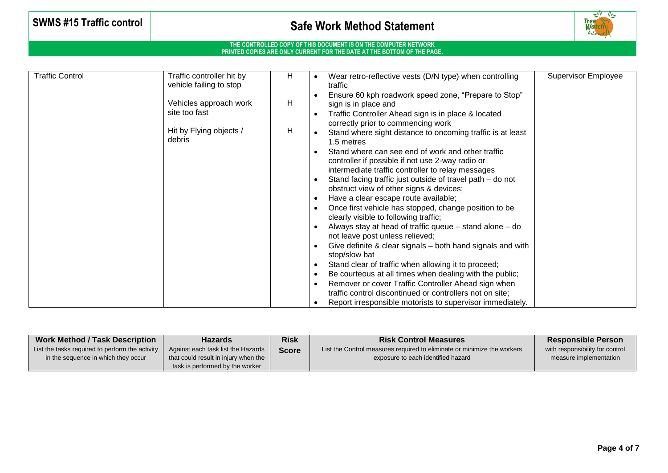# **SWMS #15 Traffic control**  $\begin{bmatrix} 1 & 1 \end{bmatrix}$  **Safe Work Method Statement**



| <b>Traffic Control</b> | Traffic controller hit by         | H | Wear retro-reflective vests (D/N type) when controlling                                        | <b>Supervisor Employee</b> |
|------------------------|-----------------------------------|---|------------------------------------------------------------------------------------------------|----------------------------|
|                        | vehicle failing to stop           |   | traffic                                                                                        |                            |
|                        |                                   |   | Ensure 60 kph roadwork speed zone, "Prepare to Stop"                                           |                            |
|                        | Vehicles approach work            | H | sign is in place and                                                                           |                            |
|                        | site too fast                     |   | Traffic Controller Ahead sign is in place & located                                            |                            |
|                        |                                   |   | correctly prior to commencing work                                                             |                            |
|                        | Hit by Flying objects /<br>debris | H | Stand where sight distance to oncoming traffic is at least                                     |                            |
|                        |                                   |   | 1.5 metres                                                                                     |                            |
|                        |                                   |   | Stand where can see end of work and other traffic                                              |                            |
|                        |                                   |   | controller if possible if not use 2-way radio or                                               |                            |
|                        |                                   |   | intermediate traffic controller to relay messages                                              |                            |
|                        |                                   |   | Stand facing traffic just outside of travel path – do not                                      |                            |
|                        |                                   |   | obstruct view of other signs & devices;                                                        |                            |
|                        |                                   |   | Have a clear escape route available;                                                           |                            |
|                        |                                   |   | Once first vehicle has stopped, change position to be<br>clearly visible to following traffic; |                            |
|                        |                                   |   | Always stay at head of traffic queue – stand alone – do                                        |                            |
|                        |                                   |   | not leave post unless relieved;                                                                |                            |
|                        |                                   |   | Give definite & clear signals – both hand signals and with                                     |                            |
|                        |                                   |   | stop/slow bat                                                                                  |                            |
|                        |                                   |   | Stand clear of traffic when allowing it to proceed;                                            |                            |
|                        |                                   |   | Be courteous at all times when dealing with the public;                                        |                            |
|                        |                                   |   | Remover or cover Traffic Controller Ahead sign when                                            |                            |
|                        |                                   |   | traffic control discontinued or controllers not on site;                                       |                            |
|                        |                                   |   | Report irresponsible motorists to supervisor immediately.                                      |                            |

| <b>Work Method / Task Description</b>           | <b>Hazards</b>                       | <b>Risk</b>  | <b>Risk Control Measures</b>                                            | <b>Responsible Person</b>       |
|-------------------------------------------------|--------------------------------------|--------------|-------------------------------------------------------------------------|---------------------------------|
| List the tasks required to perform the activity | Against each task list the Hazards   | <b>Score</b> | List the Control measures required to eliminate or minimize the workers | with responsibility for control |
| in the sequence in which they occur             | that could result in injury when the |              | exposure to each identified hazard                                      | measure implementation          |
|                                                 | task is performed by the worker      |              |                                                                         |                                 |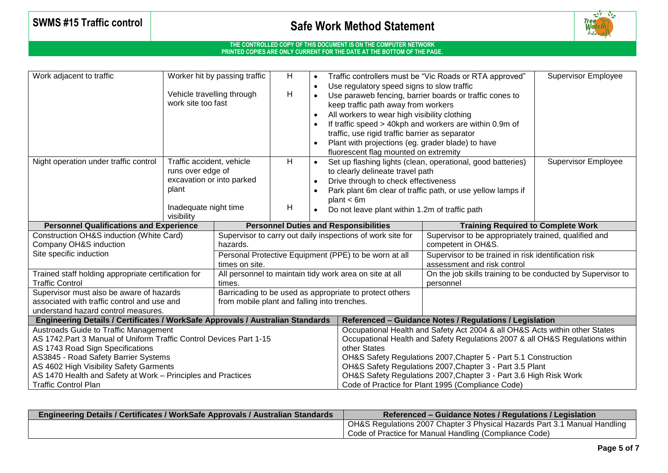# **SWMS #15 Traffic control**  $\begin{bmatrix} 1 & 1 \end{bmatrix}$  **Safe Work Method Statement**



| Work adjacent to traffic                                                       |                           | Worker hit by passing traffic<br>H.                     |                                                            |  |                                                                                            | Traffic controllers must be "Vic Roads or RTA approved"                       |                            |  |
|--------------------------------------------------------------------------------|---------------------------|---------------------------------------------------------|------------------------------------------------------------|--|--------------------------------------------------------------------------------------------|-------------------------------------------------------------------------------|----------------------------|--|
|                                                                                |                           |                                                         |                                                            |  | Use regulatory speed signs to slow traffic                                                 |                                                                               |                            |  |
|                                                                                |                           | Н<br>Vehicle travelling through                         |                                                            |  | Use paraweb fencing, barrier boards or traffic cones to                                    |                                                                               |                            |  |
|                                                                                | work site too fast        |                                                         |                                                            |  | keep traffic path away from workers                                                        |                                                                               |                            |  |
|                                                                                |                           |                                                         |                                                            |  | All workers to wear high visibility clothing                                               |                                                                               |                            |  |
|                                                                                |                           |                                                         |                                                            |  |                                                                                            | If traffic speed > 40kph and workers are within 0.9m of                       |                            |  |
|                                                                                |                           |                                                         |                                                            |  | traffic, use rigid traffic barrier as separator                                            |                                                                               |                            |  |
|                                                                                |                           |                                                         |                                                            |  | Plant with projections (eg. grader blade) to have<br>fluorescent flag mounted on extremity |                                                                               |                            |  |
| Night operation under traffic control                                          | Traffic accident, vehicle |                                                         | H.                                                         |  |                                                                                            | Set up flashing lights (clean, operational, good batteries)                   | <b>Supervisor Employee</b> |  |
|                                                                                | runs over edge of         |                                                         |                                                            |  | to clearly delineate travel path                                                           |                                                                               |                            |  |
|                                                                                | excavation or into parked |                                                         |                                                            |  | Drive through to check effectiveness                                                       |                                                                               |                            |  |
|                                                                                | plant                     |                                                         |                                                            |  |                                                                                            | Park plant 6m clear of traffic path, or use yellow lamps if                   |                            |  |
|                                                                                |                           |                                                         |                                                            |  | plan < 6m                                                                                  |                                                                               |                            |  |
|                                                                                | Inadequate night time     |                                                         | н                                                          |  | Do not leave plant within 1.2m of traffic path                                             |                                                                               |                            |  |
|                                                                                | visibility                |                                                         |                                                            |  |                                                                                            |                                                                               |                            |  |
| <b>Personnel Qualifications and Experience</b>                                 |                           |                                                         | <b>Personnel Duties and Responsibilities</b>               |  |                                                                                            | <b>Training Required to Complete Work</b>                                     |                            |  |
| Construction OH&S induction (White Card)                                       |                           |                                                         | Supervisor to carry out daily inspections of work site for |  |                                                                                            | Supervisor to be appropriately trained, qualified and                         |                            |  |
| Company OH&S induction                                                         |                           | hazards.                                                |                                                            |  |                                                                                            | competent in OH&S.                                                            |                            |  |
| Site specific induction                                                        |                           | Personal Protective Equipment (PPE) to be worn at all   |                                                            |  |                                                                                            | Supervisor to be trained in risk identification risk                          |                            |  |
|                                                                                |                           | times on site.                                          |                                                            |  |                                                                                            | assessment and risk control                                                   |                            |  |
| Trained staff holding appropriate certification for                            |                           | All personnel to maintain tidy work area on site at all |                                                            |  |                                                                                            | On the job skills training to be conducted by Supervisor to                   |                            |  |
| <b>Traffic Control</b>                                                         |                           | times.                                                  |                                                            |  |                                                                                            | personnel                                                                     |                            |  |
| Supervisor must also be aware of hazards                                       |                           | Barricading to be used as appropriate to protect others |                                                            |  |                                                                                            |                                                                               |                            |  |
| associated with traffic control and use and                                    |                           | from mobile plant and falling into trenches.            |                                                            |  |                                                                                            |                                                                               |                            |  |
| understand hazard control measures.                                            |                           |                                                         |                                                            |  |                                                                                            |                                                                               |                            |  |
| Engineering Details / Certificates / WorkSafe Approvals / Australian Standards |                           |                                                         |                                                            |  |                                                                                            | Referenced - Guidance Notes / Regulations / Legislation                       |                            |  |
| <b>Austroads Guide to Traffic Management</b>                                   |                           |                                                         |                                                            |  | Occupational Health and Safety Act 2004 & all OH&S Acts within other States                |                                                                               |                            |  |
| AS 1742. Part 3 Manual of Uniform Traffic Control Devices Part 1-15            |                           |                                                         |                                                            |  |                                                                                            | Occupational Health and Safety Regulations 2007 & all OH&S Regulations within |                            |  |
| AS 1743 Road Sign Specifications                                               |                           |                                                         |                                                            |  |                                                                                            | other States                                                                  |                            |  |
| AS3845 - Road Safety Barrier Systems                                           |                           |                                                         |                                                            |  |                                                                                            | OH&S Safety Regulations 2007, Chapter 5 - Part 5.1 Construction               |                            |  |
| AS 4602 High Visibility Safety Garments                                        |                           |                                                         |                                                            |  |                                                                                            | OH&S Safety Regulations 2007, Chapter 3 - Part 3.5 Plant                      |                            |  |
| AS 1470 Health and Safety at Work - Principles and Practices                   |                           |                                                         |                                                            |  |                                                                                            | OH&S Safety Regulations 2007, Chapter 3 - Part 3.6 High Risk Work             |                            |  |
| <b>Traffic Control Plan</b>                                                    |                           |                                                         |                                                            |  |                                                                                            | Code of Practice for Plant 1995 (Compliance Code)                             |                            |  |

| <b>Engineering Details / Certificates / WorkSafe Approvals / Australian Standards</b> | Referenced – Guidance Notes / Regulations / Legislation                   |
|---------------------------------------------------------------------------------------|---------------------------------------------------------------------------|
|                                                                                       | OH&S Regulations 2007 Chapter 3 Physical Hazards Part 3.1 Manual Handling |
|                                                                                       | Code of Practice for Manual Handling (Compliance Code)                    |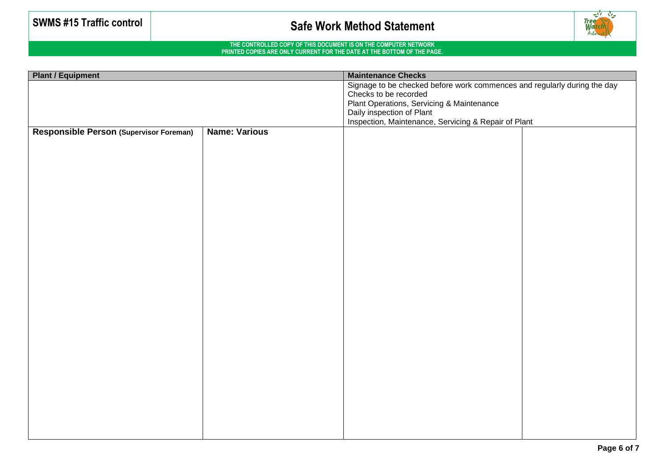

| <b>Plant / Equipment</b>                |                      | <b>Maintenance Checks</b>                                                                                                      |  |  |  |
|-----------------------------------------|----------------------|--------------------------------------------------------------------------------------------------------------------------------|--|--|--|
|                                         |                      | Signage to be checked before work commences and regularly during the day                                                       |  |  |  |
|                                         |                      | Checks to be recorded                                                                                                          |  |  |  |
|                                         |                      |                                                                                                                                |  |  |  |
|                                         |                      | Plant Operations, Servicing & Maintenance<br>Daily inspection of Plant<br>Inspection, Maintenance, Servicing & Repair of Plant |  |  |  |
| Responsible Person (Supervisor Foreman) | <b>Name: Various</b> |                                                                                                                                |  |  |  |
|                                         |                      |                                                                                                                                |  |  |  |
|                                         |                      |                                                                                                                                |  |  |  |
|                                         |                      |                                                                                                                                |  |  |  |
|                                         |                      |                                                                                                                                |  |  |  |
|                                         |                      |                                                                                                                                |  |  |  |
|                                         |                      |                                                                                                                                |  |  |  |
|                                         |                      |                                                                                                                                |  |  |  |
|                                         |                      |                                                                                                                                |  |  |  |
|                                         |                      |                                                                                                                                |  |  |  |
|                                         |                      |                                                                                                                                |  |  |  |
|                                         |                      |                                                                                                                                |  |  |  |
|                                         |                      |                                                                                                                                |  |  |  |
|                                         |                      |                                                                                                                                |  |  |  |
|                                         |                      |                                                                                                                                |  |  |  |
|                                         |                      |                                                                                                                                |  |  |  |
|                                         |                      |                                                                                                                                |  |  |  |
|                                         |                      |                                                                                                                                |  |  |  |
|                                         |                      |                                                                                                                                |  |  |  |
|                                         |                      |                                                                                                                                |  |  |  |
|                                         |                      |                                                                                                                                |  |  |  |
|                                         |                      |                                                                                                                                |  |  |  |
|                                         |                      |                                                                                                                                |  |  |  |
|                                         |                      |                                                                                                                                |  |  |  |
|                                         |                      |                                                                                                                                |  |  |  |
|                                         |                      |                                                                                                                                |  |  |  |
|                                         |                      |                                                                                                                                |  |  |  |
|                                         |                      |                                                                                                                                |  |  |  |
|                                         |                      |                                                                                                                                |  |  |  |
|                                         |                      |                                                                                                                                |  |  |  |
|                                         |                      |                                                                                                                                |  |  |  |